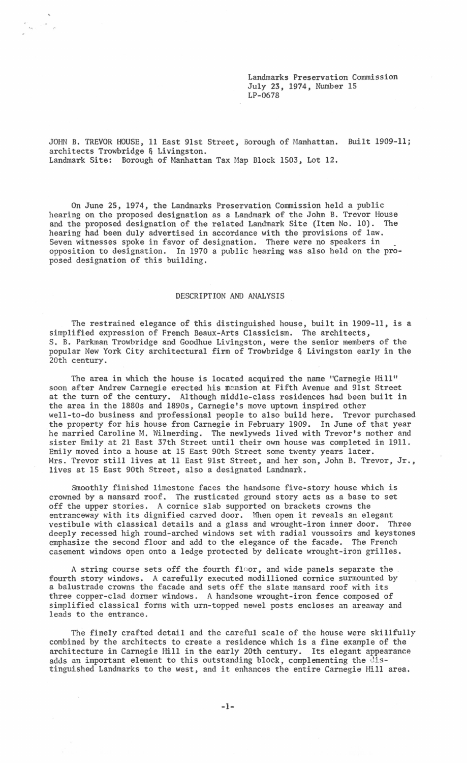Landmarks Preservation Commission July 23, 1974, Number 15 LP-0678

JOHN B. TREVOR HOUSE, 11 East 9lst Street, Borough of Manhattan. Built 1909-11; architects Trowbridge & Livingston. Landmark Site: Borough of Manhattan Tax Map Block 1503, Lot 12.

 $\begin{array}{cc} \mathbf{e}^{(1)} & & \\ & \mathbf{e}^{(2)} & \\ & \mathbf{e}^{(2)} & \\ \end{array}$ 

On June 25, 1974, the Landmarks Preservation Commission held a public hearing on the proposed designation as a Landmark of the John B. Trevor House and the proposed designation of the related Landmark Site (Item No. 10). The hearing had been duly advertised in accordance with the provisions of law.<br>Seven witnesses spoke in favor of designation. There were no speakers in opposition to designation. In 1970 a public hearing was also held on the proposed designation of this building.

## DESCRIPTION AND ANALYSIS

The restrained elegance of this distinguished house, built in 1909-11, is a simplified expression of French Beaux-Arts Classicism. The architects, S. B. Parkman Trowbridge and Goodhue Livingston, were the senior members of the popular New York City architectural firm of Trowbridge & Livingston early in the 20th century.

The area in which the house is located acquired the name "Carnegie Hill" soon after Andrew Carnegie erected his mension at Fifth Avenue and 9lst Street at the turn of the century. Although middle-class residences had been built in the area in the 1880s and 1890s, Carnegie's move uptown inspired other well-to-do business and professional people to also build here. Trevor purchased the property for his house from Carnegie in February 1909. In June of that year he married Caroline M. Wilmerding. The newlyweds lived with Trevor's mother and sister Emily at 21 East 37th Street until their own house was completed in 1911. Emily moved into a house at 15 East 90th Street some twenty years later. Mrs. Trevor still lives at 11 East 9lst Street, and her son, John B. Trevor, Jr., lives at 15 East 90th Street, also a designated Landmark.

Smoothly finished limestone faces the handsome five-story house which is crowned by a mansard roof. The rusticated ground story acts as a base to set off the upper stories. A cornice slab supported on brackets crowns the entranceway with its dignified carved door. When open it reveals an elegant vestibule with classical details and a glass and wrought-iron inner door. Three deeply recessed high round-arched windows set with radial voussoirs and keystones emphasize the second floor and add to the elegance of the facade. The French casement windows open onto a ledge protected by delicate wrought-iron grilles.

A string course sets off the fourth floor, and wide panels separate the . fourth story windows. A carefully executed modillioned cornice surmounted by a balustrade crowns the facade and sets off the slate mansard roof with its three copper-clad dormer windows. A handsome wrought-iron fence composed of simplified classical forms with urn-topped newel posts encloses an areaway and leads to the entrance.

The finely crafted detail and the careful scale of the house were skillfully combined by the architects to create a residence which is a fine example of the architecture in Carnegie Hill in the early 20th century. Its elegant appearance adds an important element to this outstanding block, complementing the disdows an important crement to this outstanding block, comprementing the dis-<br>tinguished Landmarks to the west, and it enhances the entire Carnegie Hill area.